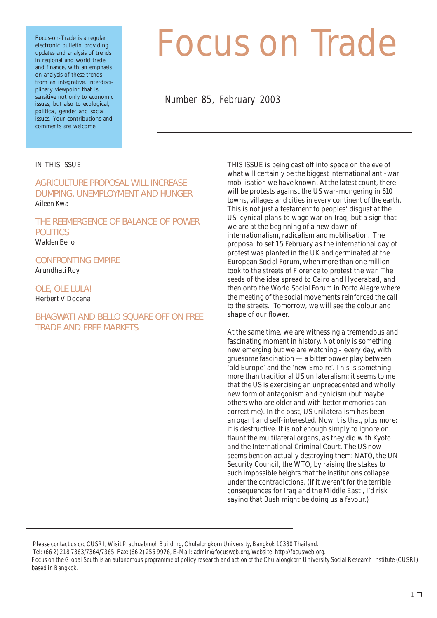Focus-on-Trade is a regular electronic bulletin providing updates and analysis of trends in regional and world trade and finance, with an emphasis on analysis of these trends from an integrative, interdisciplinary viewpoint that is sensitive not only to economic issues, but also to ecological, political, gender and social issues. Your contributions and comments are welcome.

# *Focus on Trade*

Number 85, February 2003

#### IN THIS ISSUE

AGRICULTURE PROPOSAL WILL INCREASE DUMPING, UNEMPLOYMENT AND HUNGER Aileen Kwa

THE REEMERGENCE OF BALANCE-OF-POWER **POLITICS** Walden Bello

CONFRONTING EMPIRE Arundhati Roy

### OLE, OLE LULA!

Herbert V Docena

#### BHAGWATI AND BELLO SQUARE OFF ON FREE TRADE AND FREE MARKETS

THIS ISSUE is being cast off into space on the eve of what will certainly be the biggest international anti-war mobilisation we have known. At the latest count, there will be protests against the US war-mongering in 610 towns, villages and cities in every continent of the earth. This is not just a testament to peoples' disgust at the US' cynical plans to wage war on Iraq, but a sign that we are at the beginning of a new dawn of internationalism, radicalism and mobilisation. The proposal to set 15 February as the international day of protest was planted in the UK and germinated at the European Social Forum, when more than one million took to the streets of Florence to protest the war. The seeds of the idea spread to Cairo and Hyderabad, and then onto the World Social Forum in Porto Alegre where the meeting of the social movements reinforced the call to the streets. Tomorrow, we will see the colour and shape of our flower.

At the same time, we are witnessing a tremendous and fascinating moment in history. Not only is something new emerging but we are watching - every day, with gruesome fascination — a bitter power play between 'old Europe' and the 'new Empire'. This is something more than traditional US unilateralism: it seems to me that the US is exercising an unprecedented and wholly new form of antagonism and cynicism (but maybe others who are older and with better memories can correct me). In the past, US unilateralism has been arrogant and self-interested. Now it is that, plus more: it is destructive. It is not enough simply to ignore or flaunt the multilateral organs, as they did with Kyoto and the International Criminal Court. The US now seems bent on actually destroying them: NATO, the UN Security Council, the WTO, by raising the stakes to such impossible heights that the institutions collapse under the contradictions. (If it weren't for the terrible consequences for Iraq and the Middle East , I'd risk saying that Bush might be doing us a favour.)

Please contact us c/o CUSRI, Wisit Prachuabmoh Building, Chulalongkorn University, Bangkok 10330 Thailand.

Tel: (66 2) 218 7363/7364/7365, Fax: (66 2) 255 9976, E-Mail: admin@focusweb.org, Website: http://focusweb.org.

Focus on the Global South is an autonomous programme of policy research and action of the Chulalongkorn University Social Research Institute (CUSRI) based in Bangkok.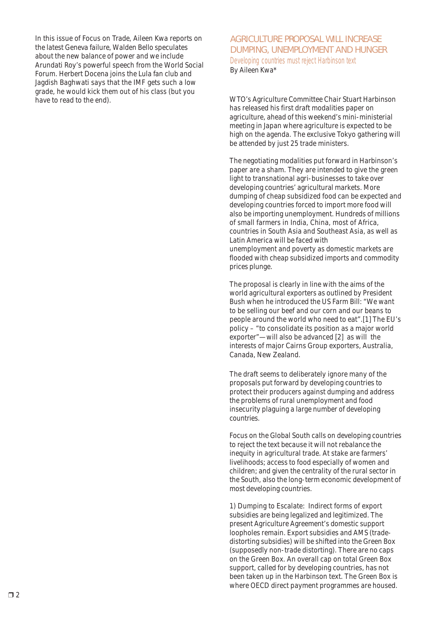In this issue of Focus on Trade, Aileen Kwa reports on the latest Geneva failure, Walden Bello speculates about the new balance of power and we include Arundati Roy's powerful speech from the World Social Forum. Herbert Docena joins the Lula fan club and Jagdish Baghwati says that the IMF gets such a low grade, he would kick them out of his class (but you have to read to the end). The end is a series with the WTO's Agriculture Committee Chair Stuart Harbinson

#### AGRICULTURE PROPOSAL WILL INCREASE DUMPING, UNEMPLOYMENT AND HUNGER Developing countries must reject Harbinson text By Aileen Kwa\*

has released his first draft modalities paper on agriculture, ahead of this weekend's mini-ministerial meeting in Japan where agriculture is expected to be high on the agenda. The exclusive Tokyo gathering will be attended by just 25 trade ministers.

The negotiating modalities put forward in Harbinson's paper are a sham. They are intended to give the green light to transnational agri-businesses to take over developing countries' agricultural markets. More dumping of cheap subsidized food can be expected and developing countries forced to import more food will also be importing unemployment. Hundreds of millions of small farmers in India, China, most of Africa, countries in South Asia and Southeast Asia, as well as Latin America will be faced with unemployment and poverty as domestic markets are flooded with cheap subsidized imports and commodity prices plunge.

The proposal is clearly in line with the aims of the world agricultural exporters as outlined by President Bush when he introduced the US Farm Bill: "We want to be selling our beef and our corn and our beans to people around the world who need to eat".[1] The EU's policy – "to consolidate its position as a major world exporter"—will also be advanced [2] as will the interests of major Cairns Group exporters, Australia, Canada, New Zealand.

The draft seems to deliberately ignore many of the proposals put forward by developing countries to protect their producers against dumping and address the problems of rural unemployment and food insecurity plaguing a large number of developing countries.

Focus on the Global South calls on developing countries to reject the text because it will not rebalance the inequity in agricultural trade. At stake are farmers' livelihoods; access to food especially of women and children; and given the centrality of the rural sector in the South, also the long-term economic development of most developing countries.

1) Dumping to Escalate: Indirect forms of export subsidies are being legalized and legitimized. The present Agriculture Agreement's domestic support loopholes remain. Export subsidies and AMS (tradedistorting subsidies) will be shifted into the Green Box (supposedly non-trade distorting). There are no caps on the Green Box. An overall cap on total Green Box support, called for by developing countries, has not been taken up in the Harbinson text. The Green Box is where OECD direct payment programmes are housed.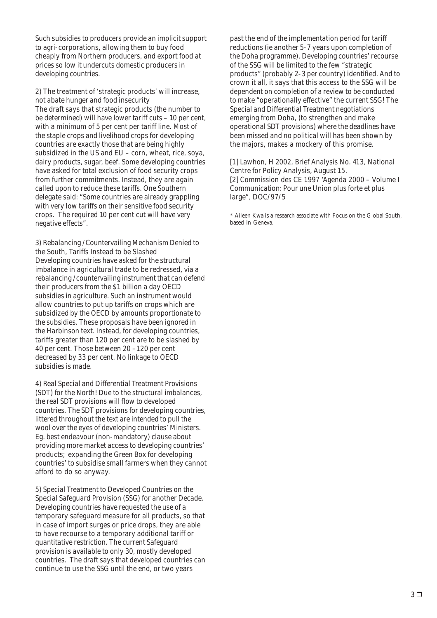Such subsidies to producers provide an implicit support to agri-corporations, allowing them to buy food cheaply from Northern producers, and export food at prices so low it undercuts domestic producers in developing countries.

2) The treatment of 'strategic products' will increase, not abate hunger and food insecurity The draft says that strategic products (the number to be determined) will have lower tariff cuts – 10 per cent, with a minimum of 5 per cent per tariff line. Most of the staple crops and livelihood crops for developing countries are exactly those that are being highly subsidized in the US and EU – corn, wheat, rice, soya, dairy products, sugar, beef. Some developing countries have asked for total exclusion of food security crops from further commitments. Instead, they are again called upon to reduce these tariffs. One Southern delegate said: "Some countries are already grappling with very low tariffs on their sensitive food security crops. The required 10 per cent cut will have very negative effects".

3) Rebalancing /Countervailing Mechanism Denied to the South, Tariffs Instead to be Slashed Developing countries have asked for the structural imbalance in agricultural trade to be redressed, via a rebalancing /countervailing instrument that can defend their producers from the \$1 billion a day OECD subsidies in agriculture. Such an instrument would allow countries to put up tariffs on crops which are subsidized by the OECD by amounts proportionate to the subsidies. These proposals have been ignored in the Harbinson text. Instead, for developing countries, tariffs greater than 120 per cent are to be slashed by 40 per cent. Those between 20 –120 per cent decreased by 33 per cent. No linkage to OECD subsidies is made.

4) Real Special and Differential Treatment Provisions (SDT) for the North! Due to the structural imbalances, the real SDT provisions will flow to developed countries. The SDT provisions for developing countries, littered throughout the text are intended to pull the wool over the eyes of developing countries' Ministers. Eg. best endeavour (non-mandatory) clause about providing more market access to developing countries' products; expanding the Green Box for developing countries' to subsidise small farmers when they cannot afford to do so anyway.

5) Special Treatment to Developed Countries on the Special Safeguard Provision (SSG) for another Decade. Developing countries have requested the use of a temporary safeguard measure for all products, so that in case of import surges or price drops, they are able to have recourse to a temporary additional tariff or quantitative restriction. The current Safeguard provision is available to only 30, mostly developed countries. The draft says that developed countries can continue to use the SSG until the end, or two years

past the end of the implementation period for tariff reductions (ie another 5-7 years upon completion of the Doha programme). Developing countries' recourse of the SSG will be limited to the few "strategic products" (probably 2-3 per country) identified. And to crown it all, it says that this access to the SSG will be dependent on completion of a review to be conducted to make "operationally effective" the current SSG! The Special and Differential Treatment negotiations emerging from Doha, (to strengthen and make operational SDT provisions) where the deadlines have been missed and no political will has been shown by the majors, makes a mockery of this promise.

[1] Lawhon, H 2002, Brief Analysis No. 413, National Centre for Policy Analysis, August 15. [2] Commission des CE 1997 'Agenda 2000 – Volume I Communication: Pour une Union plus forte et plus large", DOC/97/5

\* Aileen Kwa is a research associate with Focus on the Global South, based in Geneva.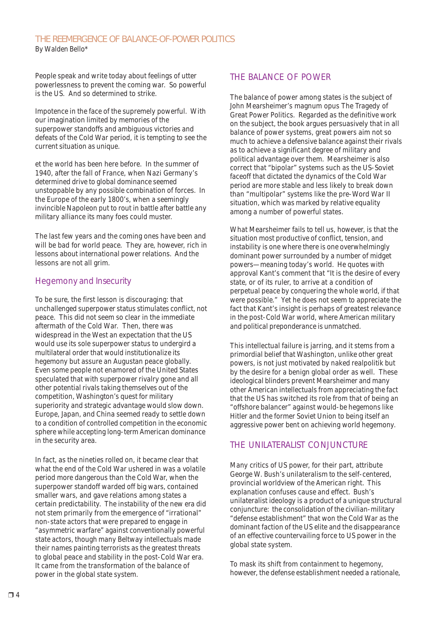#### THE REEMERGENCE OF BALANCE-OF-POWER POLITICS By Walden Bello\*

People speak and write today about feelings of utter powerlessness to prevent the coming war. So powerful is the US. And so determined to strike.

Impotence in the face of the supremely powerful. With our imagination limited by memories of the superpower standoffs and ambiguous victories and defeats of the Cold War period, it is tempting to see the current situation as unique.

et the world has been here before. In the summer of 1940, after the fall of France, when Nazi Germany's determined drive to global dominance seemed unstoppable by any possible combination of forces. In the Europe of the early 1800's, when a seemingly invincible Napoleon put to rout in battle after battle any military alliance its many foes could muster.

The last few years and the coming ones have been and will be bad for world peace. They are, however, rich in lessons about international power relations. And the lessons are not all grim.

#### *Hegemony and Insecurity*

To be sure, the first lesson is discouraging: that unchallenged superpower status stimulates conflict, not peace. This did not seem so clear in the immediate aftermath of the Cold War. Then, there was widespread in the West an expectation that the US would use its sole superpower status to undergird a multilateral order that would institutionalize its hegemony but assure an Augustan peace globally. Even some people not enamored of the United States speculated that with superpower rivalry gone and all other potential rivals taking themselves out of the competition, Washington's quest for military superiority and strategic advantage would slow down. Europe, Japan, and China seemed ready to settle down to a condition of controlled competition in the economic sphere while accepting long-term American dominance in the security area.

In fact, as the nineties rolled on, it became clear that what the end of the Cold War ushered in was a volatile period more dangerous than the Cold War, when the superpower standoff warded off big wars, contained smaller wars, and gave relations among states a certain predictability. The instability of the new era did not stem primarily from the emergence of "irrational" non-state actors that were prepared to engage in "asymmetric warfare" against conventionally powerful state actors, though many Beltway intellectuals made their names painting terrorists as the greatest threats to global peace and stability in the post-Cold War era. It came from the transformation of the balance of power in the global state system.

#### *THE BALANCE OF POWER*

The balance of power among states is the subject of John Mearsheimer's magnum opus The Tragedy of Great Power Politics. Regarded as the definitive work on the subject, the book argues persuasively that in all balance of power systems, great powers aim not so much to achieve a defensive balance against their rivals as to achieve a significant degree of military and political advantage over them. Mearsheimer is also correct that "bipolar" systems such as the US-Soviet faceoff that dictated the dynamics of the Cold War period are more stable and less likely to break down than "multipolar" systems like the pre-Word War II situation, which was marked by relative equality among a number of powerful states.

What Mearsheimer fails to tell us, however, is that the situation most productive of conflict, tension, and instability is one where there is one overwhelmingly dominant power surrounded by a number of midget powers—meaning today's world. He quotes with approval Kant's comment that "It is the desire of every state, or of its ruler, to arrive at a condition of perpetual peace by conquering the whole world, if that were possible." Yet he does not seem to appreciate the fact that Kant's insight is perhaps of greatest relevance in the post-Cold War world, where American military and political preponderance is unmatched.

This intellectual failure is jarring, and it stems from a primordial belief that Washington, unlike other great powers, is not just motivated by naked realpolitik but by the desire for a benign global order as well. These ideological blinders prevent Mearsheimer and many other American intellectuals from appreciating the fact that the US has switched its role from that of being an "offshore balancer" against would-be hegemons like Hitler and the former Soviet Union to being itself an aggressive power bent on achieving world hegemony.

#### *THE UNILATERALIST CONJUNCTURE*

Many critics of US power, for their part, attribute George W. Bush's unilateralism to the self-centered, provincial worldview of the American right. This explanation confuses cause and effect. Bush's unilateralist ideology is a product of a unique structural conjuncture: the consolidation of the civilian-military "defense establishment" that won the Cold War as the dominant faction of the US elite and the disappearance of an effective countervailing force to US power in the global state system.

To mask its shift from containment to hegemony, however, the defense establishment needed a rationale,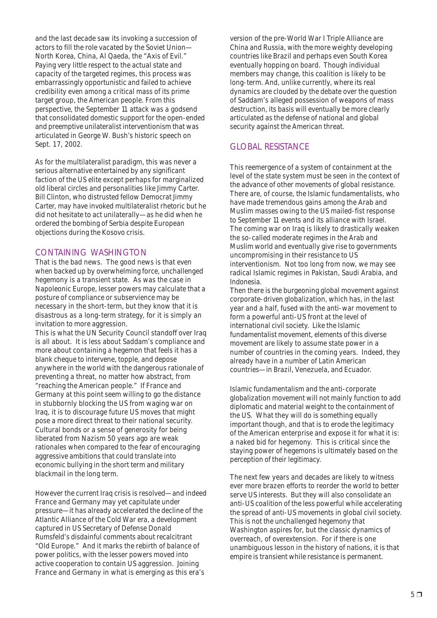and the last decade saw its invoking a succession of actors to fill the role vacated by the Soviet Union— North Korea, China, Al Qaeda, the "Axis of Evil." Paying very little respect to the actual state and capacity of the targeted regimes, this process was embarrassingly opportunistic and failed to achieve credibility even among a critical mass of its prime target group, the American people. From this perspective, the September 11 attack was a godsend that consolidated domestic support for the open-ended and preemptive unilateralist interventionism that was articulated in George W. Bush's historic speech on Sept. 17, 2002.

As for the multilateralist paradigm, this was never a serious alternative entertained by any significant faction of the US elite except perhaps for marginalized old liberal circles and personalities like Jimmy Carter. Bill Clinton, who distrusted fellow Democrat Jimmy Carter, may have invoked multilateralist rhetoric but he did not hesitate to act unilaterally—as he did when he ordered the bombing of Serbia despite European objections during the Kosovo crisis.

#### *CONTAINING WASHINGTON*

That is the bad news. The good news is that even when backed up by overwhelming force, unchallenged hegemony is a transient state. As was the case in Napoleonic Europe, lesser powers may calculate that a posture of compliance or subservience may be necessary in the short-term, but they know that it is disastrous as a long-term strategy, for it is simply an invitation to more aggression.

This is what the UN Security Council standoff over Iraq is all about. It is less about Saddam's compliance and more about containing a hegemon that feels it has a blank cheque to intervene, topple, and depose anywhere in the world with the dangerous rationale of preventing a threat, no matter how abstract, from "reaching the American people." If France and Germany at this point seem willing to go the distance in stubbornly blocking the US from waging war on Iraq, it is to discourage future US moves that might pose a more direct threat to their national security. Cultural bonds or a sense of generosity for being liberated from Nazism 50 years ago are weak rationales when compared to the fear of encouraging aggressive ambitions that could translate into economic bullying in the short term and military blackmail in the long term.

However the current Iraq crisis is resolved—and indeed France and Germany may yet capitulate under pressure—it has already accelerated the decline of the Atlantic Alliance of the Cold War era, a development captured in US Secretary of Defense Donald Rumsfeld's disdainful comments about recalcitrant "Old Europe." And it marks the rebirth of balance of power politics, with the lesser powers moved into active cooperation to contain US aggression. Joining France and Germany in what is emerging as this era's

version of the pre-World War I Triple Alliance are China and Russia, with the more weighty developing countries like Brazil and perhaps even South Korea eventually hopping on board. Though individual members may change, this coalition is likely to be long-term. And, unlike currently, where its real dynamics are clouded by the debate over the question of Saddam's alleged possession of weapons of mass destruction, its basis will eventually be more clearly articulated as the defense of national and global security against the American threat.

#### *GLOBAL RESISTANCE*

This reemergence of a system of containment at the level of the state system must be seen in the context of the advance of other movements of global resistance. There are, of course, the Islamic fundamentalists, who have made tremendous gains among the Arab and Muslim masses owing to the US mailed-fist response to September 11 events and its alliance with Israel. The coming war on Iraq is likely to drastically weaken the so-called moderate regimes in the Arab and Muslim world and eventually give rise to governments uncompromising in their resistance to US interventionism. Not too long from now, we may see radical Islamic regimes in Pakistan, Saudi Arabia, and Indonesia.

Then there is the burgeoning global movement against corporate-driven globalization, which has, in the last year and a half, fused with the anti-war movement to form a powerful anti-US front at the level of international civil society. Like the Islamic fundamentalist movement, elements of this diverse movement are likely to assume state power in a number of countries in the coming years. Indeed, they already have in a number of Latin American countries—in Brazil, Venezuela, and Ecuador.

Islamic fundamentalism and the anti-corporate globalization movement will not mainly function to add diplomatic and material weight to the containment of the US. What they will do is something equally important though, and that is to erode the legitimacy of the American enterprise and expose it for what it is: a naked bid for hegemony. This is critical since the staying power of hegemons is ultimately based on the perception of their legitimacy.

The next few years and decades are likely to witness ever more brazen efforts to reorder the world to better serve US interests. But they will also consolidate an anti-US coalition of the less powerful while accelerating the spread of anti-US movements in global civil society. This is not the unchallenged hegemony that Washington aspires for, but the classic dynamics of overreach, of overextension. For if there is one unambiguous lesson in the history of nations, it is that empire is transient while resistance is permanent.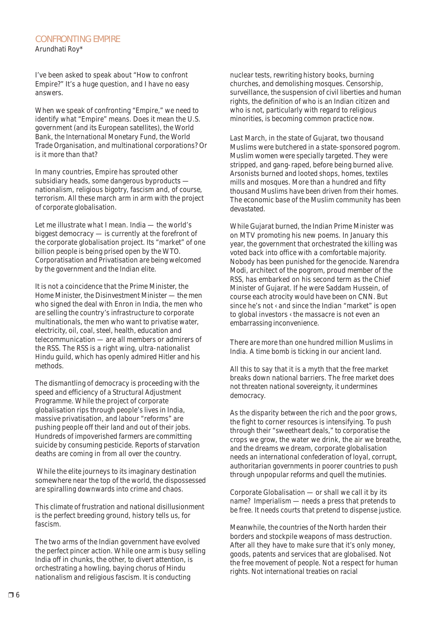#### CONFRONTING EMPIRE Arundhati Roy\*

I've been asked to speak about "How to confront Empire?" It's a huge question, and I have no easy answers.

When we speak of confronting "Empire," we need to identify what "Empire" means. Does it mean the U.S. government (and its European satellites), the World Bank, the International Monetary Fund, the World Trade Organisation, and multinational corporations? Or is it more than that?

In many countries, Empire has sprouted other subsidiary heads, some dangerous byproducts nationalism, religious bigotry, fascism and, of course, terrorism. All these march arm in arm with the project of corporate globalisation.

Let me illustrate what I mean. India — the world's biggest democracy — is currently at the forefront of the corporate globalisation project. Its "market" of one billion people is being prised open by the WTO. Corporatisation and Privatisation are being welcomed by the government and the Indian elite.

It is not a coincidence that the Prime Minister, the Home Minister, the Disinvestment Minister — the men who signed the deal with Enron in India, the men who are selling the country's infrastructure to corporate multinationals, the men who want to privatise water, electricity, oil, coal, steel, health, education and telecommunication — are all members or admirers of the RSS. The RSS is a right wing, ultra-nationalist Hindu guild, which has openly admired Hitler and his methods.

The dismantling of democracy is proceeding with the speed and efficiency of a Structural Adjustment Programme. While the project of corporate globalisation rips through people's lives in India, massive privatisation, and labour "reforms" are pushing people off their land and out of their jobs. Hundreds of impoverished farmers are committing suicide by consuming pesticide. Reports of starvation deaths are coming in from all over the country.

 While the elite journeys to its imaginary destination somewhere near the top of the world, the dispossessed are spiralling downwards into crime and chaos.

This climate of frustration and national disillusionment is the perfect breeding ground, history tells us, for fascism.

The two arms of the Indian government have evolved the perfect pincer action. While one arm is busy selling India off in chunks, the other, to divert attention, is orchestrating a howling, baying chorus of Hindu nationalism and religious fascism. It is conducting

nuclear tests, rewriting history books, burning churches, and demolishing mosques. Censorship, surveillance, the suspension of civil liberties and human rights, the definition of who is an Indian citizen and who is not, particularly with regard to religious minorities, is becoming common practice now.

Last March, in the state of Gujarat, two thousand Muslims were butchered in a state-sponsored pogrom. Muslim women were specially targeted. They were stripped, and gang-raped, before being burned alive. Arsonists burned and looted shops, homes, textiles mills and mosques. More than a hundred and fifty thousand Muslims have been driven from their homes. The economic base of the Muslim community has been devastated.

While Gujarat burned, the Indian Prime Minister was on MTV promoting his new poems. In January this year, the government that orchestrated the killing was voted back into office with a comfortable majority. Nobody has been punished for the genocide. Narendra Modi, architect of the pogrom, proud member of the RSS, has embarked on his second term as the Chief Minister of Gujarat. If he were Saddam Hussein, of course each atrocity would have been on CNN. But since he's not < and since the Indian "market" is open to global investors ‹ the massacre is not even an embarrassing inconvenience.

There are more than one hundred million Muslims in India. A time bomb is ticking in our ancient land.

All this to say that it is a myth that the free market breaks down national barriers. The free market does not threaten national sovereignty, it undermines democracy.

As the disparity between the rich and the poor grows, the fight to corner resources is intensifying. To push through their "sweetheart deals," to corporatise the crops we grow, the water we drink, the air we breathe, and the dreams we dream, corporate globalisation needs an international confederation of loyal, corrupt, authoritarian governments in poorer countries to push through unpopular reforms and quell the mutinies.

Corporate Globalisation — or shall we call it by its name? Imperialism — needs a press that pretends to be free. It needs courts that pretend to dispense justice.

Meanwhile, the countries of the North harden their borders and stockpile weapons of mass destruction. After all they have to make sure that it's only money, goods, patents and services that are globalised. Not the free movement of people. Not a respect for human rights. Not international treaties on racial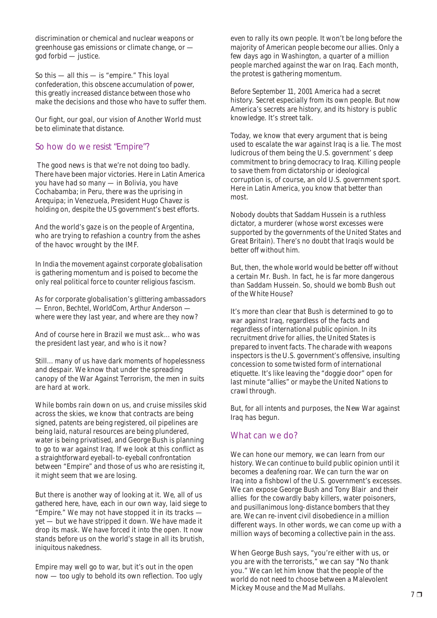discrimination or chemical and nuclear weapons or greenhouse gas emissions or climate change, or god forbid — justice.

So this — all this — is "empire." This loyal confederation, this obscene accumulation of power, this greatly increased distance between those who make the decisions and those who have to suffer them.

Our fight, our goal, our vision of Another World must be to eliminate that distance.

#### *So how do we resist "Empire"?*

 The good news is that we're not doing too badly. There have been major victories. Here in Latin America you have had so many — in Bolivia, you have Cochabamba; in Peru, there was the uprising in Arequipa; in Venezuela, President Hugo Chavez is holding on, despite the US government's best efforts.

And the world's gaze is on the people of Argentina, who are trying to refashion a country from the ashes of the havoc wrought by the IMF.

In India the movement against corporate globalisation is gathering momentum and is poised to become the only real political force to counter religious fascism.

As for corporate globalisation's glittering ambassadors — Enron, Bechtel, WorldCom, Arthur Anderson where were they last year, and where are they now?

And of course here in Brazil we must ask... who was the president last year, and who is it now?

Still... many of us have dark moments of hopelessness and despair. We know that under the spreading canopy of the War Against Terrorism, the men in suits are hard at work.

While bombs rain down on us, and cruise missiles skid across the skies, we know that contracts are being signed, patents are being registered, oil pipelines are being laid, natural resources are being plundered, water is being privatised, and George Bush is planning to go to war against Iraq. If we look at this conflict as a straightforward eyeball-to-eyeball confrontation between "Empire" and those of us who are resisting it, it might seem that we are losing.

But there is another way of looking at it. We, all of us gathered here, have, each in our own way, laid siege to "Empire." We may not have stopped it in its tracks yet — but we have stripped it down. We have made it drop its mask. We have forced it into the open. It now stands before us on the world's stage in all its brutish, iniquitous nakedness.

Empire may well go to war, but it's out in the open now — too ugly to behold its own reflection. Too ugly even to rally its own people. It won't be long before the majority of American people become our allies. Only a few days ago in Washington, a quarter of a million people marched against the war on Iraq. Each month, the protest is gathering momentum.

Before September 11, 2001 America had a secret history. Secret especially from its own people. But now America's secrets are history, and its history is public knowledge. It's street talk.

Today, we know that every argument that is being used to escalate the war against Iraq is a lie. The most ludicrous of them being the U.S. government' s deep commitment to bring democracy to Iraq. Killing people to save them from dictatorship or ideological corruption is, of course, an old U.S. government sport. Here in Latin America, you know that better than most.

Nobody doubts that Saddam Hussein is a ruthless dictator, a murderer (whose worst excesses were supported by the governments of the United States and Great Britain). There's no doubt that Iraqis would be better off without him.

But, then, the whole world would be better off without a certain Mr. Bush. In fact, he is far more dangerous than Saddam Hussein. So, should we bomb Bush out of the White House?

It's more than clear that Bush is determined to go to war against Iraq, regardless of the facts and regardless of international public opinion. In its recruitment drive for allies, the United States is prepared to invent facts. The charade with weapons inspectors is the U.S. government's offensive, insulting concession to some twisted form of international etiquette. It's like leaving the "doggie door" open for last minute "allies" or maybe the United Nations to crawl through.

But, for all intents and purposes, the New War against Iraq has begun.

#### *What can we do?*

We can hone our memory, we can learn from our history. We can continue to build public opinion until it becomes a deafening roar. We can turn the war on Iraq into a fishbowl of the U.S. government's excesses. We can expose George Bush and Tony Blair and their allies for the cowardly baby killers, water poisoners, and pusillanimous long-distance bombers that they are. We can re-invent civil disobedience in a million different ways. In other words, we can come up with a million ways of becoming a collective pain in the ass.

When George Bush says, "you're either with us, or you are with the terrorists," we can say "No thank you." We can let him know that the people of the world do not need to choose between a Malevolent Mickey Mouse and the Mad Mullahs.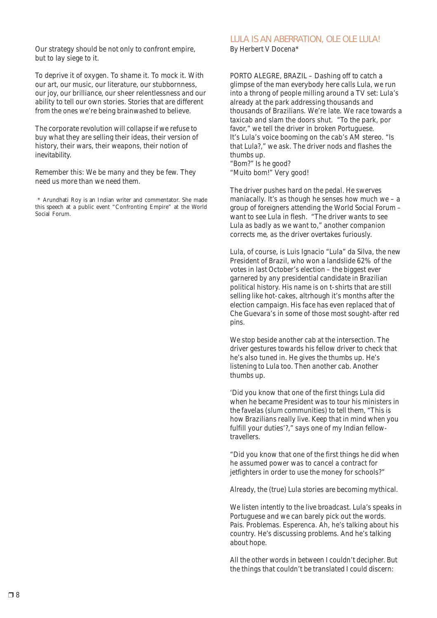Our strategy should be not only to confront empire, but to lay siege to it.

To deprive it of oxygen. To shame it. To mock it. With our art, our music, our literature, our stubbornness, our joy, our brilliance, our sheer relentlessness and our ability to tell our own stories. Stories that are different from the ones we're being brainwashed to believe.

The corporate revolution will collapse if we refuse to buy what they are selling their ideas, their version of history, their wars, their weapons, their notion of inevitability.

Remember this: We be many and they be few. They need us more than we need them.

 \* Arundhati Roy is an Indian writer and commentator. She made this speech at a public event "Confronting Empire" at the World Social Forum.

## LULA IS AN ABERRATION, OLE OLE LULA!

By Herbert V Docena\*

PORTO ALEGRE, BRAZIL – Dashing off to catch a glimpse of the man everybody here calls Lula, we run into a throng of people milling around a TV set: Lula's already at the park addressing thousands and thousands of Brazilians. We're late. We race towards a taxicab and slam the doors shut. "To the park, por favor," we tell the driver in broken Portuguese. It's Lula's voice booming on the cab's AM stereo. "Is that Lula?," we ask. The driver nods and flashes the thumbs up. "Bom?" Is he good?

"Muito bom!" Very good!

The driver pushes hard on the pedal. He swerves maniacally. It's as though he senses how much we  $-$  a group of foreigners attending the World Social Forum – want to see Lula in flesh. "The driver wants to see Lula as badly as we want to," another companion corrects me, as the driver overtakes furiously.

Lula, of course, is Luis Ignacio "Lula" da Silva, the new President of Brazil, who won a landslide 62% of the votes in last October's election – the biggest ever garnered by any presidential candidate in Brazilian political history. His name is on t-shirts that are still selling like hot-cakes, altrhough it's months after the election campaign. His face has even replaced that of Che Guevara's in some of those most sought-after red pins.

We stop beside another cab at the intersection. The driver gestures towards his fellow driver to check that he's also tuned in. He gives the thumbs up. He's listening to Lula too. Then another cab. Another thumbs up.

'Did you know that one of the first things Lula did when he became President was to tour his ministers in the favelas (slum communities) to tell them, "This is how Brazilians really live. Keep that in mind when you fulfill your duties'?," says one of my Indian fellowtravellers.

"Did you know that one of the first things he did when he assumed power was to cancel a contract for jetfighters in order to use the money for schools?"

Already, the (true) Lula stories are becoming mythical.

We listen intently to the live broadcast. Lula's speaks in Portuguese and we can barely pick out the words. Pais. Problemas. Esperenca. Ah, he's talking about his country. He's discussing problems. And he's talking about hope.

All the other words in between I couldn't decipher. But the things that couldn't be translated I could discern: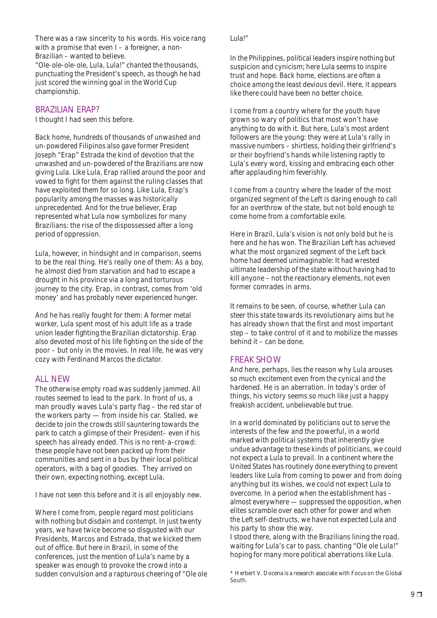There was a raw sincerity to his words. His voice rang with a promise that even I – a foreigner, a non-Brazilian – wanted to believe.

"Ole-ole-ole-ole, Lula, Lula!" chanted the thousands, punctuating the President's speech, as though he had just scored the winning goal in the World Cup championship.

#### *BRAZILIAN ERAP?*

I thought I had seen this before.

Back home, hundreds of thousands of unwashed and un-powdered Filipinos also gave former President Joseph "Erap" Estrada the kind of devotion that the unwashed and un-powdered of the Brazilians are now giving Lula. Like Lula, Erap rallied around the poor and vowed to fight for them against the ruling classes that have exploited them for so long. Like Lula, Erap's popularity among the masses was historically unprecedented. And for the true believer, Erap represented what Lula now symbolizes for many Brazilians: the rise of the dispossessed after a long period of oppression.

Lula, however, in hindsight and in comparison, seems to be the real thing. He's really one of them: As a boy, he almost died from starvation and had to escape a drought in his province via a long and torturous journey to the city. Erap, in contrast, comes from 'old money' and has probably never experienced hunger.

And he has really fought for them: A former metal worker, Lula spent most of his adult life as a trade union leader fighting the Brazilian dictatorship. Erap also devoted most of his life fighting on the side of the poor – but only in the movies. In real life, he was very cozy with Ferdinand Marcos the dictator.

#### *ALL NEW*

The otherwise empty road was suddenly jammed. All routes seemed to lead to the park. In front of us, a man proudly waves Lula's party flag – the red star of the workers party — from inside his car. Stalled, we decide to join the crowds still sauntering towards the park to catch a glimpse of their President– even if his speech has already ended. This is no rent-a-crowd: these people have not been packed up from their communities and sent in a bus by their local political operators, with a bag of goodies. They arrived on their own, expecting nothing, except Lula.

I have not seen this before and it is all enjoyably new.

Where I come from, people regard most politicians with nothing but disdain and contempt. In just twenty years, we have twice become so disgusted with our Presidents, Marcos and Estrada, that we kicked them out of office. But here in Brazil, in some of the conferences, just the mention of Lula's name by a speaker was enough to provoke the crowd into a sudden convulsion and a rapturous cheering of "Ole ole Lula!"

In the Philippines, political leaders inspire nothing but suspicion and cynicism; here Lula seems to inspire trust and hope. Back home, elections are often a choice among the least devious devil. Here, it appears like there could have been no better choice.

I come from a country where for the youth have grown so wary of politics that most won't have anything to do with it. But here, Lula's most ardent followers are the young: they were at Lula's rally in massive numbers – shirtless, holding their girlfriend's or their boyfriend's hands while listening raptly to Lula's every word, kissing and embracing each other after applauding him feverishly.

I come from a country where the leader of the most organized segment of the Left is daring enough to call for an overthrow of the state, but not bold enough to come home from a comfortable exile.

Here in Brazil, Lula's vision is not only bold but he is here and he has won. The Brazilian Left has achieved what the most organized segment of the Left back home had deemed unimaginable: It had wrested ultimate leadership of the state without having had to kill anyone – not the reactionary elements, not even former comrades in arms.

It remains to be seen, of course, whether Lula can steer this state towards its revolutionary aims but he has already shown that the first and most important step – to take control of it and to mobilize the masses behind it – can be done.

#### *FREAK SHOW*

And here, perhaps, lies the reason why Lula arouses so much excitement even from the cynical and the hardened. He is an aberration. In today's order of things, his victory seems so much like just a happy freakish accident, unbelievable but true.

In a world dominated by politicians out to serve the interests of the few and the powerful, in a world marked with political systems that inherently give undue advantage to these kinds of politicians, we could not expect a Lula to prevail. In a continent where the United States has routinely done everything to prevent leaders like Lula from coming to power and from doing anything but its wishes, we could not expect Lula to overcome. In a period when the establishment has – almost everywhere — suppressed the opposition, when elites scramble over each other for power and when the Left self-destructs, we have not expected Lula and his party to show the way.

I stood there, along with the Brazilians lining the road, waiting for Lula's car to pass, chanting "Ole ole Lula!" hoping for many more political aberrations like Lula.

<sup>\*</sup> Herbert V. Docena is a research associate with Focus on the Global South.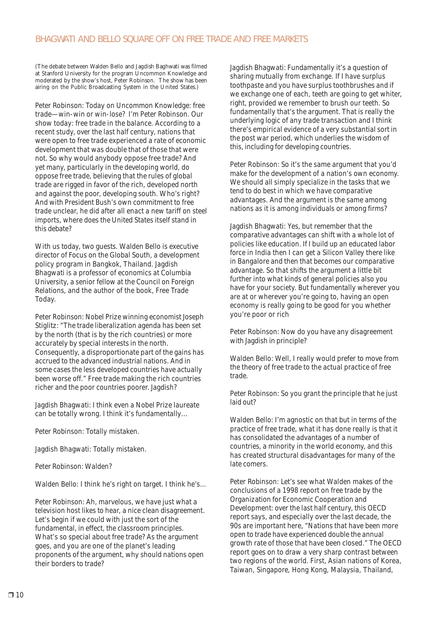(The debate between Walden Bello and Jagdish Baghwati was filmed at Stanford University for the program Uncommon Knowledge and moderated by the show's host, Peter Robinson. The show has been airing on the Public Broadcasting System in the United States.)

Peter Robinson: Today on Uncommon Knowledge: free trade—win-win or win-lose? I'm Peter Robinson. Our show today: free trade in the balance. According to a recent study, over the last half century, nations that were open to free trade experienced a rate of economic development that was double that of those that were not. So why would anybody oppose free trade? And yet many, particularly in the developing world, do oppose free trade, believing that the rules of global trade are rigged in favor of the rich, developed north and against the poor, developing south. Who's right? And with President Bush's own commitment to free trade unclear, he did after all enact a new tariff on steel imports, where does the United States itself stand in this debate?

With us today, two guests. Walden Bello is executive director of Focus on the Global South, a development policy program in Bangkok, Thailand. Jagdish Bhagwati is a professor of economics at Columbia University, a senior fellow at the Council on Foreign Relations, and the author of the book, Free Trade Today.

Peter Robinson: Nobel Prize winning economist Joseph Stiglitz: "The trade liberalization agenda has been set by the north (that is by the rich countries) or more accurately by special interests in the north. Consequently, a disproportionate part of the gains has accrued to the advanced industrial nations. And in some cases the less developed countries have actually been worse off." Free trade making the rich countries richer and the poor countries poorer. Jagdish?

Jagdish Bhagwati: I think even a Nobel Prize laureate can be totally wrong. I think it's fundamentally…

Peter Robinson: Totally mistaken.

Jagdish Bhagwati: Totally mistaken.

Peter Robinson: Walden?

Walden Bello: I think he's right on target. I think he's…

Peter Robinson: Ah, marvelous, we have just what a television host likes to hear, a nice clean disagreement. Let's begin if we could with just the sort of the fundamental, in effect, the classroom principles. What's so special about free trade? As the argument goes, and you are one of the planet's leading proponents of the argument, why should nations open their borders to trade?

Jagdish Bhagwati: Fundamentally it's a question of sharing mutually from exchange. If I have surplus toothpaste and you have surplus toothbrushes and if we exchange one of each, teeth are going to get whiter, right, provided we remember to brush our teeth. So fundamentally that's the argument. That is really the underlying logic of any trade transaction and I think there's empirical evidence of a very substantial sort in the post war period, which underlies the wisdom of this, including for developing countries.

Peter Robinson: So it's the same argument that you'd make for the development of a nation's own economy. We should all simply specialize in the tasks that we tend to do best in which we have comparative advantages. And the argument is the same among nations as it is among individuals or among firms?

Jagdish Bhagwati: Yes, but remember that the comparative advantages can shift with a whole lot of policies like education. If I build up an educated labor force in India then I can get a Silicon Valley there like in Bangalore and then that becomes our comparative advantage. So that shifts the argument a little bit further into what kinds of general policies also you have for your society. But fundamentally wherever you are at or wherever you're going to, having an open economy is really going to be good for you whether you're poor or rich

Peter Robinson: Now do you have any disagreement with Jagdish in principle?

Walden Bello: Well, I really would prefer to move from the theory of free trade to the actual practice of free trade.

Peter Robinson: So you grant the principle that he just laid out?

Walden Bello: I'm agnostic on that but in terms of the practice of free trade, what it has done really is that it has consolidated the advantages of a number of countries, a minority in the world economy, and this has created structural disadvantages for many of the late comers.

Peter Robinson: Let's see what Walden makes of the conclusions of a 1998 report on free trade by the Organization for Economic Cooperation and Development: over the last half century, this OECD report says, and especially over the last decade, the 90s are important here, "Nations that have been more open to trade have experienced double the annual growth rate of those that have been closed." The OECD report goes on to draw a very sharp contrast between two regions of the world. First, Asian nations of Korea, Taiwan, Singapore, Hong Kong, Malaysia, Thailand,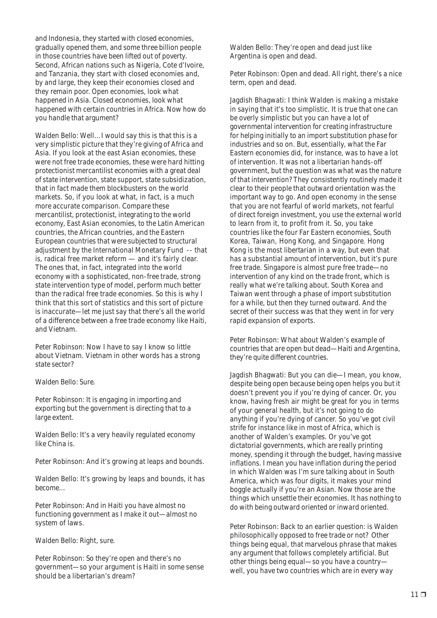and Indonesia, they started with closed economies, gradually opened them, and some three billion people in those countries have been lifted out of poverty. Second, African nations such as Nigeria, Cote d'Ivoire, and Tanzania, they start with closed economies and, by and large, they keep their economies closed and they remain poor. Open economies, look what happened in Asia. Closed economies, look what happened with certain countries in Africa. Now how do you handle that argument?

Walden Bello: Well…I would say this is that this is a very simplistic picture that they're giving of Africa and Asia. If you look at the east Asian economies, these were not free trade economies, these were hard hitting protectionist mercantilist economies with a great deal of state intervention, state support, state subsidization, that in fact made them blockbusters on the world markets. So, if you look at what, in fact, is a much more accurate comparison. Compare these mercantilist, protectionist, integrating to the world economy, East Asian economies, to the Latin American countries, the African countries, and the Eastern European countries that were subjected to structural adjustment by the International Monetary Fund -- that is, radical free market reform — and it's fairly clear. The ones that, in fact, integrated into the world economy with a sophisticated, non-free trade, strong state intervention type of model, perform much better than the radical free trade economies. So this is why I think that this sort of statistics and this sort of picture is inaccurate—let me just say that there's all the world of a difference between a free trade economy like Haiti, and Vietnam.

Peter Robinson: Now I have to say I know so little about Vietnam. Vietnam in other words has a strong state sector?

Walden Bello: Sure.

Peter Robinson: It is engaging in importing and exporting but the government is directing that to a large extent.

Walden Bello: It's a very heavily regulated economy like China is.

Peter Robinson: And it's growing at leaps and bounds.

Walden Bello: It's growing by leaps and bounds, it has become…

Peter Robinson: And in Haiti you have almost no functioning government as I make it out—almost no system of laws.

Walden Bello: Right, sure.

Peter Robinson: So they're open and there's no government—so your argument is Haiti in some sense should be a libertarian's dream?

Walden Bello: They're open and dead just like Argentina is open and dead.

Peter Robinson: Open and dead. All right, there's a nice term, open and dead.

Jagdish Bhagwati: I think Walden is making a mistake in saying that it's too simplistic. It is true that one can be overly simplistic but you can have a lot of governmental intervention for creating infrastructure for helping initially to an import substitution phase for industries and so on. But, essentially, what the Far Eastern economies did, for instance, was to have a lot of intervention. It was not a libertarian hands-off government, but the question was what was the nature of that intervention? They consistently routinely made it clear to their people that outward orientation was the important way to go. And open economy in the sense that you are not fearful of world markets, not fearful of direct foreign investment, you use the external world to learn from it, to profit from it. So, you take countries like the four Far Eastern economies, South Korea, Taiwan, Hong Kong, and Singapore. Hong Kong is the most libertarian in a way, but even that has a substantial amount of intervention, but it's pure free trade. Singapore is almost pure free trade—no intervention of any kind on the trade front, which is really what we're talking about. South Korea and Taiwan went through a phase of import substitution for a while, but then they turned outward. And the secret of their success was that they went in for very rapid expansion of exports.

Peter Robinson: What about Walden's example of countries that are open but dead—Haiti and Argentina, they're quite different countries.

Jagdish Bhagwati: But you can die—I mean, you know, despite being open because being open helps you but it doesn't prevent you if you're dying of cancer. Or, you know, having fresh air might be great for you in terms of your general health, but it's not going to do anything if you're dying of cancer. So you've got civil strife for instance like in most of Africa, which is another of Walden's examples. Or you've got dictatorial governments, which are really printing money, spending it through the budget, having massive inflations. I mean you have inflation during the period in which Walden was I'm sure talking about in South America, which was four digits, it makes your mind boggle actually if you're an Asian. Now those are the things which unsettle their economies. It has nothing to do with being outward oriented or inward oriented.

Peter Robinson: Back to an earlier question: is Walden philosophically opposed to free trade or not? Other things being equal, that marvelous phrase that makes any argument that follows completely artificial. But other things being equal—so you have a country well, you have two countries which are in every way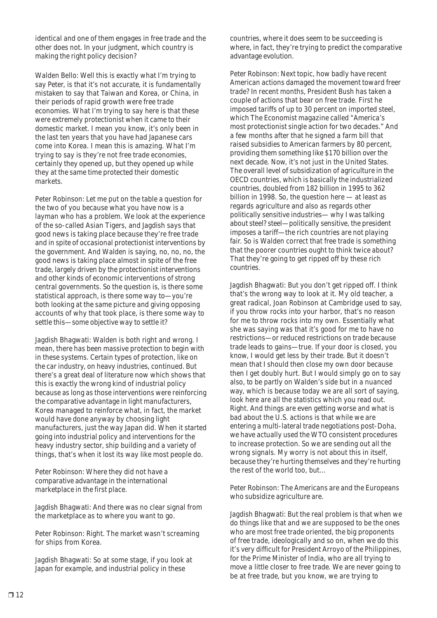identical and one of them engages in free trade and the other does not. In your judgment, which country is making the right policy decision?

Walden Bello: Well this is exactly what I'm trying to say Peter, is that it's not accurate, it is fundamentally mistaken to say that Taiwan and Korea, or China, in their periods of rapid growth were free trade economies. What I'm trying to say here is that these were extremely protectionist when it came to their domestic market. I mean you know, it's only been in the last ten years that you have had Japanese cars come into Korea. I mean this is amazing. What I'm trying to say is they're not free trade economies, certainly they opened up, but they opened up while they at the same time protected their domestic markets.

Peter Robinson: Let me put on the table a question for the two of you because what you have now is a layman who has a problem. We look at the experience of the so-called Asian Tigers, and Jagdish says that good news is taking place because they're free trade and in spite of occasional protectionist interventions by the government. And Walden is saying, no, no, no, the good news is taking place almost in spite of the free trade, largely driven by the protectionist interventions and other kinds of economic interventions of strong central governments. So the question is, is there some statistical approach, is there some way to—you're both looking at the same picture and giving opposing accounts of why that took place, is there some way to settle this—some objective way to settle it?

Jagdish Bhagwati: Walden is both right and wrong. I mean, there has been massive protection to begin with in these systems. Certain types of protection, like on the car industry, on heavy industries, continued. But there's a great deal of literature now which shows that this is exactly the wrong kind of industrial policy because as long as those interventions were reinforcing the comparative advantage in light manufacturers, Korea managed to reinforce what, in fact, the market would have done anyway by choosing light manufacturers, just the way Japan did. When it started going into industrial policy and interventions for the heavy industry sector, ship building and a variety of things, that's when it lost its way like most people do.

Peter Robinson: Where they did not have a comparative advantage in the international marketplace in the first place.

Jagdish Bhagwati: And there was no clear signal from the marketplace as to where you want to go.

Peter Robinson: Right. The market wasn't screaming for ships from Korea.

Jagdish Bhagwati: So at some stage, if you look at Japan for example, and industrial policy in these

countries, where it does seem to be succeeding is where, in fact, they're trying to predict the comparative advantage evolution.

Peter Robinson: Next topic, how badly have recent American actions damaged the movement toward freer trade? In recent months, President Bush has taken a couple of actions that bear on free trade. First he imposed tariffs of up to 30 percent on imported steel, which The Economist magazine called "America's most protectionist single action for two decades." And a few months after that he signed a farm bill that raised subsidies to American farmers by 80 percent, providing them something like \$170 billion over the next decade. Now, it's not just in the United States. The overall level of subsidization of agriculture in the OECD countries, which is basically the industrialized countries, doubled from 182 billion in 1995 to 362 billion in 1998. So, the question here — at least as regards agriculture and also as regards other politically sensitive industries— why I was talking about steel? steel—politically sensitive, the president imposes a tariff—the rich countries are not playing fair. So is Walden correct that free trade is something that the poorer countries ought to think twice about? That they're going to get ripped off by these rich countries.

Jagdish Bhagwati: But you don't get ripped off. I think that's the wrong way to look at it. My old teacher, a great radical, Joan Robinson at Cambridge used to say, if you throw rocks into your harbor, that's no reason for me to throw rocks into my own. Essentially what she was saying was that it's good for me to have no restrictions—or reduced restrictions on trade because trade leads to gains—true. If your door is closed, you know, I would get less by their trade. But it doesn't mean that I should then close my own door because then I get doubly hurt. But I would simply go on to say also, to be partly on Walden's side but in a nuanced way, which is because today we are all sort of saying, look here are all the statistics which you read out. Right. And things are even getting worse and what is bad about the U.S. actions is that while we are entering a multi-lateral trade negotiations post-Doha, we have actually used the WTO consistent procedures to increase protection. So we are sending out all the wrong signals. My worry is not about this in itself, because they're hurting themselves and they're hurting the rest of the world too, but…

Peter Robinson: The Americans are and the Europeans who subsidize agriculture are.

Jagdish Bhagwati: But the real problem is that when we do things like that and we are supposed to be the ones who are most free trade oriented, the big proponents of free trade, ideologically and so on, when we do this it's very difficult for President Arroyo of the Philippines, for the Prime Minister of India, who are all trying to move a little closer to free trade. We are never going to be at free trade, but you know, we are trying to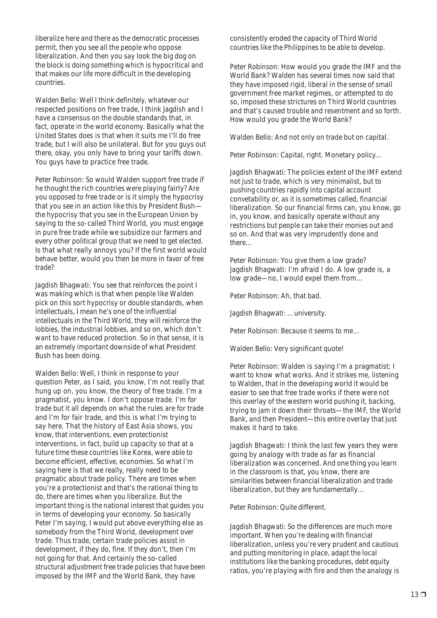liberalize here and there as the democratic processes permit, then you see all the people who oppose liberalization. And then you say look the big dog on the block is doing something which is hypocritical and that makes our life more difficult in the developing countries.

Walden Bello: Well I think definitely, whatever our respected positions on free trade, I think Jagdish and I have a consensus on the double standards that, in fact, operate in the world economy. Basically what the United States does is that when it suits me I'll do free trade, but I will also be unilateral. But for you guys out there, okay, you only have to bring your tariffs down. You guys have to practice free trade.

Peter Robinson: So would Walden support free trade if he thought the rich countries were playing fairly? Are you opposed to free trade or is it simply the hypocrisy that you see in an action like this by President Bush the hypocrisy that you see in the European Union by saying to the so-called Third World, you must engage in pure free trade while we subsidize our farmers and every other political group that we need to get elected. Is that what really annoys you? If the first world would behave better, would you then be more in favor of free trade?

Jagdish Bhagwati: You see that reinforces the point I was making which is that when people like Walden pick on this sort hypocrisy or double standards, when intellectuals, I mean he's one of the influential intellectuals in the Third World, they will reinforce the lobbies, the industrial lobbies, and so on, which don't want to have reduced protection. So in that sense, it is an extremely important downside of what President Bush has been doing.

Walden Bello: Well, I think in response to your question Peter, as I said, you know, I'm not really that hung up on, you know, the theory of free trade. I'm a pragmatist, you know. I don't oppose trade. I'm for trade but it all depends on what the rules are for trade and I'm for fair trade, and this is what I'm trying to say here. That the history of East Asia shows, you know, that interventions, even protectionist interventions, in fact, build up capacity so that at a future time these countries like Korea, were able to become efficient, effective, economies. So what I'm saying here is that we really, really need to be pragmatic about trade policy. There are times when you're a protectionist and that's the rational thing to do, there are times when you liberalize. But the important thing is the national interest that guides you in terms of developing your economy. So basically Peter I'm saying, I would put above everything else as somebody from the Third World, development over trade. Thus trade, certain trade policies assist in development, if they do, fine. If they don't, then I'm not going for that. And certainly the so-called structural adjustment free trade policies that have been imposed by the IMF and the World Bank, they have

consistently eroded the capacity of Third World countries like the Philippines to be able to develop.

Peter Robinson: How would you grade the IMF and the World Bank? Walden has several times now said that they have imposed rigid, liberal in the sense of small government free market regimes, or attempted to do so, imposed these strictures on Third World countries and that's caused trouble and resentment and so forth. How would you grade the World Bank?

Walden Bello: And not only on trade but on capital.

Peter Robinson: Capital, right. Monetary policy...

Jagdish Bhagwati: The policies extent of the IMF extend not just to trade, which is very minimalist, but to pushing countries rapidly into capital account convetability or, as it is sometimes called, financial liberalization. So our financial firms can, you know, go in, you know, and basically operate without any restrictions but people can take their monies out and so on. And that was very imprudently done and there…

Peter Robinson: You give them a low grade? Jagdish Bhagwati: I'm afraid I do. A low grade is, a low grade—no, I would expel them from…

Peter Robinson: Ah, that bad.

Jagdish Bhagwati: …university.

Peter Robinson: Because it seems to me…

Walden Bello: Very significant quote!

Peter Robinson: Walden is saying I'm a pragmatist; I want to know what works. And it strikes me, listening to Walden, that in the developing world it would be easier to see that free trade works if there were not this overlay of the western world pushing it, backing, trying to jam it down their throats—the IMF, the World Bank, and then President—this entire overlay that just makes it hard to take.

Jagdish Bhagwati: I think the last few years they were going by analogy with trade as far as financial liberalization was concerned. And one thing you learn in the classroom is that, you know, there are similarities between financial liberalization and trade liberalization, but they are fundamentally…

Peter Robinson: Quite different.

Jagdish Bhagwati: So the differences are much more important. When you're dealing with financial liberalization, unless you're very prudent and cautious and putting monitoring in place, adapt the local institutions like the banking procedures, debt equity ratios, you're playing with fire and then the analogy is